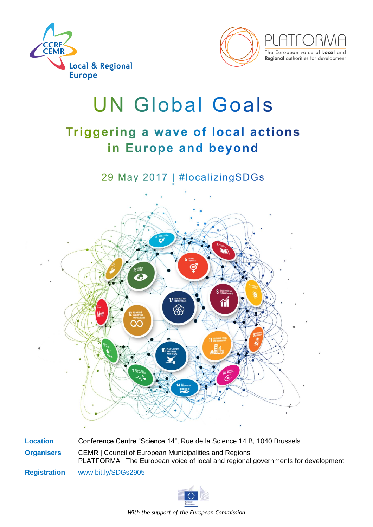



# **UN Global Goals**

## Triggering a wave of local actions in Europe and beyond

29 May 2017 | #localizingSDGs



**Location** Conference Centre "Science 14", Rue de la Science 14 B, 1040 Brussels **Organisers** [CEMR](http://www.ccre.org/en) | Council of European Municipalities and Regions [PLATFORMA](http://platforma-dev.eu/) | The European voice of local and regional governments for development **Registration** www[.bit.ly/SDGs2905](http://bit.ly/SDGs2905)



*With the support of the European Commission*